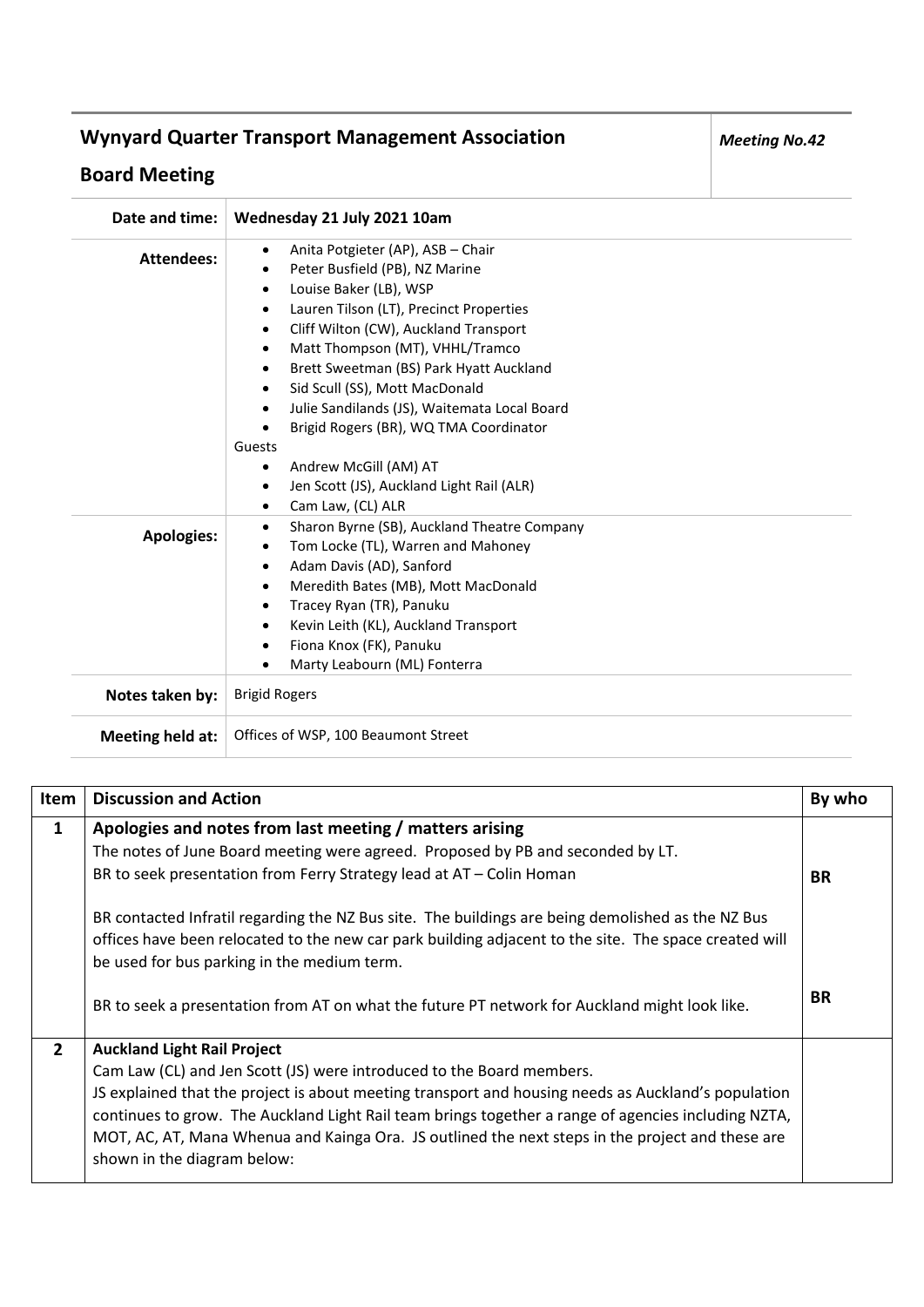## **Wynyard Quarter Transport Management Association**

## **Board Meeting**

| Date and time:          | Wednesday 21 July 2021 10am                                                                                                                                                                                                                                                                                                                                                                                                                                                                                                                                                                                             |
|-------------------------|-------------------------------------------------------------------------------------------------------------------------------------------------------------------------------------------------------------------------------------------------------------------------------------------------------------------------------------------------------------------------------------------------------------------------------------------------------------------------------------------------------------------------------------------------------------------------------------------------------------------------|
| <b>Attendees:</b>       | Anita Potgieter (AP), ASB - Chair<br>٠<br>Peter Busfield (PB), NZ Marine<br>$\bullet$<br>Louise Baker (LB), WSP<br>$\bullet$<br>Lauren Tilson (LT), Precinct Properties<br>٠<br>Cliff Wilton (CW), Auckland Transport<br>$\bullet$<br>Matt Thompson (MT), VHHL/Tramco<br>$\bullet$<br>Brett Sweetman (BS) Park Hyatt Auckland<br>$\bullet$<br>Sid Scull (SS), Mott MacDonald<br>$\bullet$<br>Julie Sandilands (JS), Waitemata Local Board<br>$\bullet$<br>Brigid Rogers (BR), WQ TMA Coordinator<br>$\bullet$<br>Guests<br>Andrew McGill (AM) AT<br>$\bullet$<br>Jen Scott (JS), Auckland Light Rail (ALR)<br>$\bullet$ |
| <b>Apologies:</b>       | Cam Law, (CL) ALR<br>٠<br>Sharon Byrne (SB), Auckland Theatre Company<br>$\bullet$<br>Tom Locke (TL), Warren and Mahoney<br>$\bullet$<br>Adam Davis (AD), Sanford<br>$\bullet$<br>Meredith Bates (MB), Mott MacDonald<br>$\bullet$<br>Tracey Ryan (TR), Panuku<br>$\bullet$<br>Kevin Leith (KL), Auckland Transport<br>٠                                                                                                                                                                                                                                                                                                |
| Notes taken by:         | Fiona Knox (FK), Panuku<br>٠<br>Marty Leabourn (ML) Fonterra<br>$\bullet$<br><b>Brigid Rogers</b>                                                                                                                                                                                                                                                                                                                                                                                                                                                                                                                       |
| <b>Meeting held at:</b> | Offices of WSP, 100 Beaumont Street                                                                                                                                                                                                                                                                                                                                                                                                                                                                                                                                                                                     |

| Item           | <b>Discussion and Action</b>                                                                                                                                                                                                                              | By who    |
|----------------|-----------------------------------------------------------------------------------------------------------------------------------------------------------------------------------------------------------------------------------------------------------|-----------|
| $\mathbf{1}$   | Apologies and notes from last meeting / matters arising                                                                                                                                                                                                   |           |
|                | The notes of June Board meeting were agreed. Proposed by PB and seconded by LT.                                                                                                                                                                           |           |
|                | BR to seek presentation from Ferry Strategy lead at AT - Colin Homan                                                                                                                                                                                      | <b>BR</b> |
|                | BR contacted Infratil regarding the NZ Bus site. The buildings are being demolished as the NZ Bus<br>offices have been relocated to the new car park building adjacent to the site. The space created will<br>be used for bus parking in the medium term. |           |
|                | BR to seek a presentation from AT on what the future PT network for Auckland might look like.                                                                                                                                                             | <b>BR</b> |
| $\overline{2}$ | <b>Auckland Light Rail Project</b>                                                                                                                                                                                                                        |           |
|                | Cam Law (CL) and Jen Scott (JS) were introduced to the Board members.                                                                                                                                                                                     |           |
|                | JS explained that the project is about meeting transport and housing needs as Auckland's population                                                                                                                                                       |           |
|                | continues to grow. The Auckland Light Rail team brings together a range of agencies including NZTA,                                                                                                                                                       |           |
|                | MOT, AC, AT, Mana Whenua and Kainga Ora. JS outlined the next steps in the project and these are                                                                                                                                                          |           |
|                | shown in the diagram below:                                                                                                                                                                                                                               |           |

*Meeting No.42*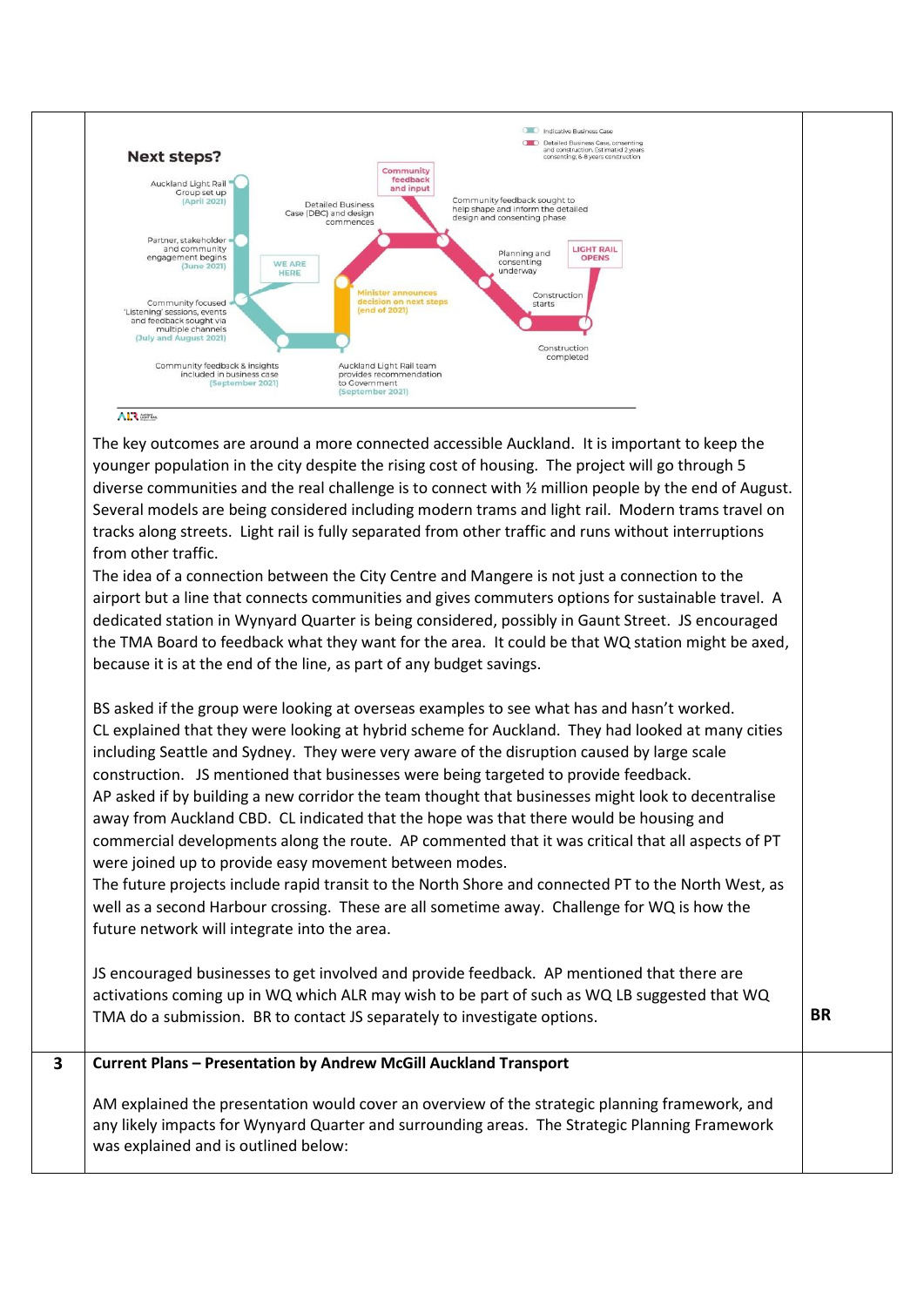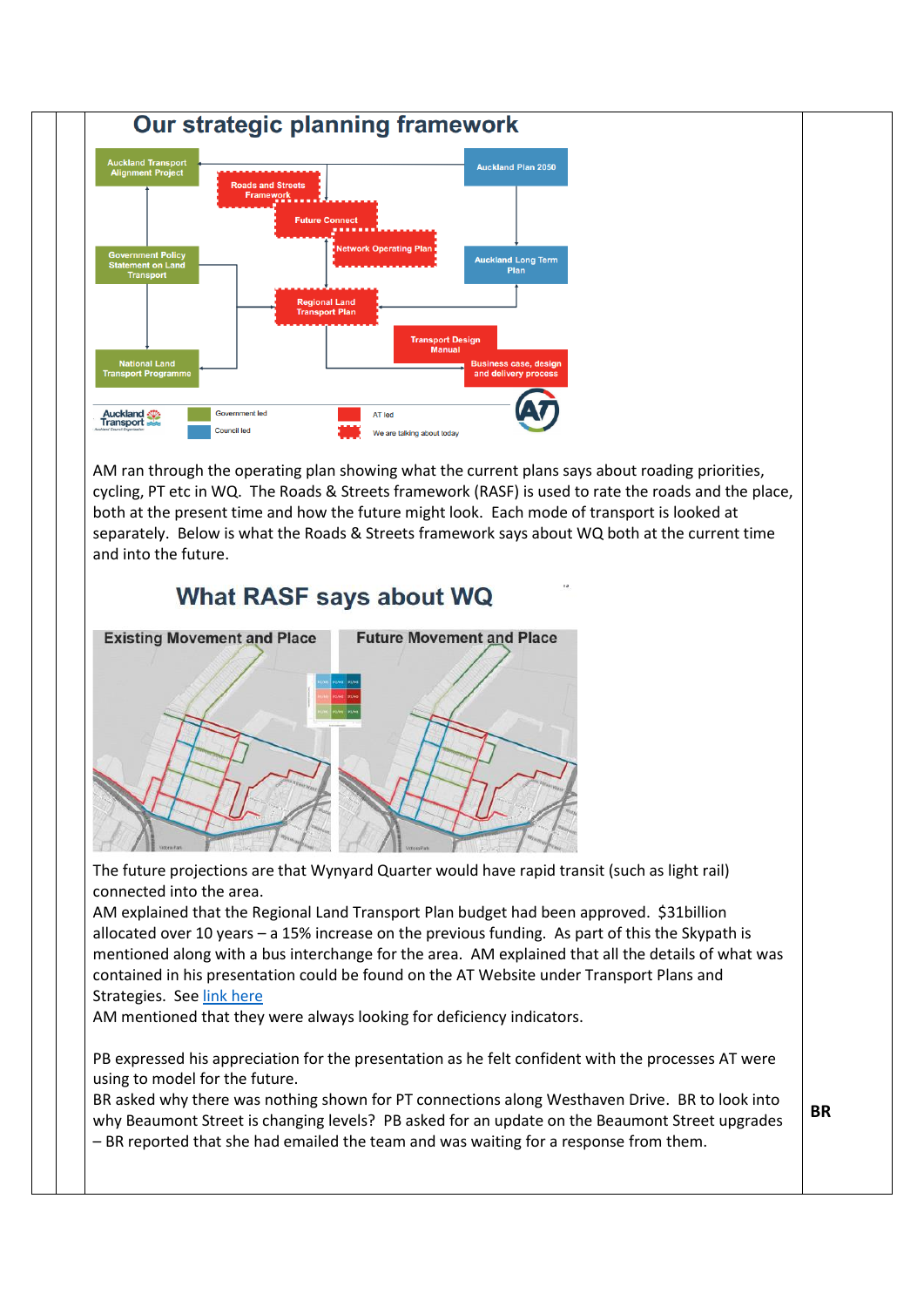